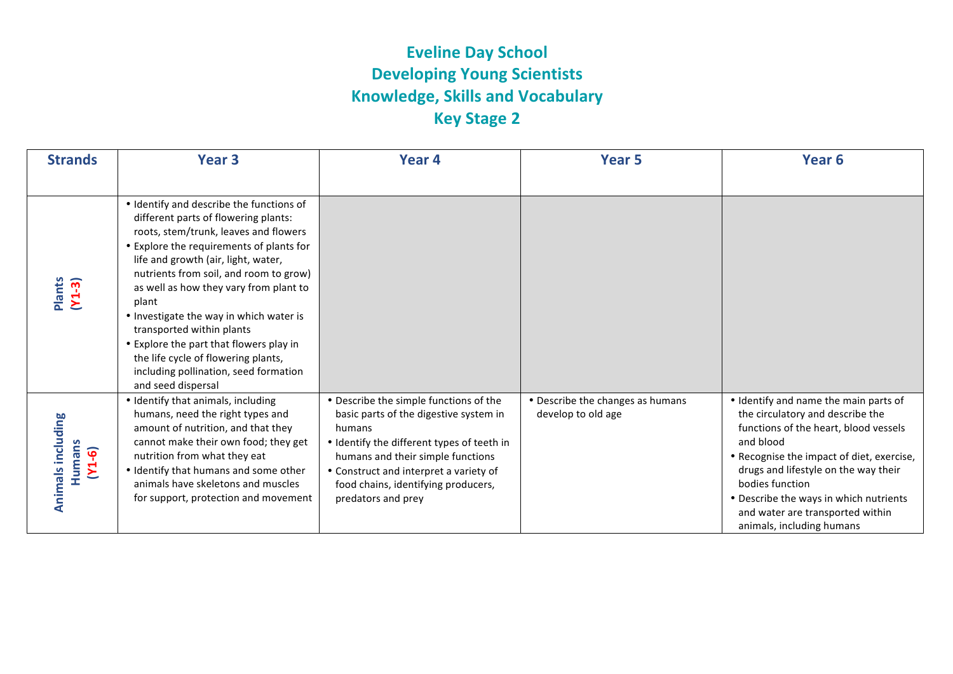## **Eveline Day School Developing Young Scientists Knowledge, Skills and Vocabulary Key Stage 2**

| <b>Strands</b>                                 | Year <sub>3</sub>                                                                                                                                                                                                                                                                                                                                                                                                                                                                                                                  | Year 4                                                                                                                                                                                                                                                                               | Year 5                                                 | Year <sub>6</sub>                                                                                                                                                                                                                                                                                                                                  |
|------------------------------------------------|------------------------------------------------------------------------------------------------------------------------------------------------------------------------------------------------------------------------------------------------------------------------------------------------------------------------------------------------------------------------------------------------------------------------------------------------------------------------------------------------------------------------------------|--------------------------------------------------------------------------------------------------------------------------------------------------------------------------------------------------------------------------------------------------------------------------------------|--------------------------------------------------------|----------------------------------------------------------------------------------------------------------------------------------------------------------------------------------------------------------------------------------------------------------------------------------------------------------------------------------------------------|
| Plants<br>$(Y1-3)$                             | • Identify and describe the functions of<br>different parts of flowering plants:<br>roots, stem/trunk, leaves and flowers<br>• Explore the requirements of plants for<br>life and growth (air, light, water,<br>nutrients from soil, and room to grow)<br>as well as how they vary from plant to<br>plant<br>• Investigate the way in which water is<br>transported within plants<br>• Explore the part that flowers play in<br>the life cycle of flowering plants,<br>including pollination, seed formation<br>and seed dispersal |                                                                                                                                                                                                                                                                                      |                                                        |                                                                                                                                                                                                                                                                                                                                                    |
| <b>Animals including</b><br>Humans<br>$(Y1-6)$ | • Identify that animals, including<br>humans, need the right types and<br>amount of nutrition, and that they<br>cannot make their own food; they get<br>nutrition from what they eat<br>• Identify that humans and some other<br>animals have skeletons and muscles<br>for support, protection and movement                                                                                                                                                                                                                        | • Describe the simple functions of the<br>basic parts of the digestive system in<br>humans<br>• Identify the different types of teeth in<br>humans and their simple functions<br>• Construct and interpret a variety of<br>food chains, identifying producers,<br>predators and prey | • Describe the changes as humans<br>develop to old age | • Identify and name the main parts of<br>the circulatory and describe the<br>functions of the heart, blood vessels<br>and blood<br>• Recognise the impact of diet, exercise,<br>drugs and lifestyle on the way their<br>bodies function<br>• Describe the ways in which nutrients<br>and water are transported within<br>animals, including humans |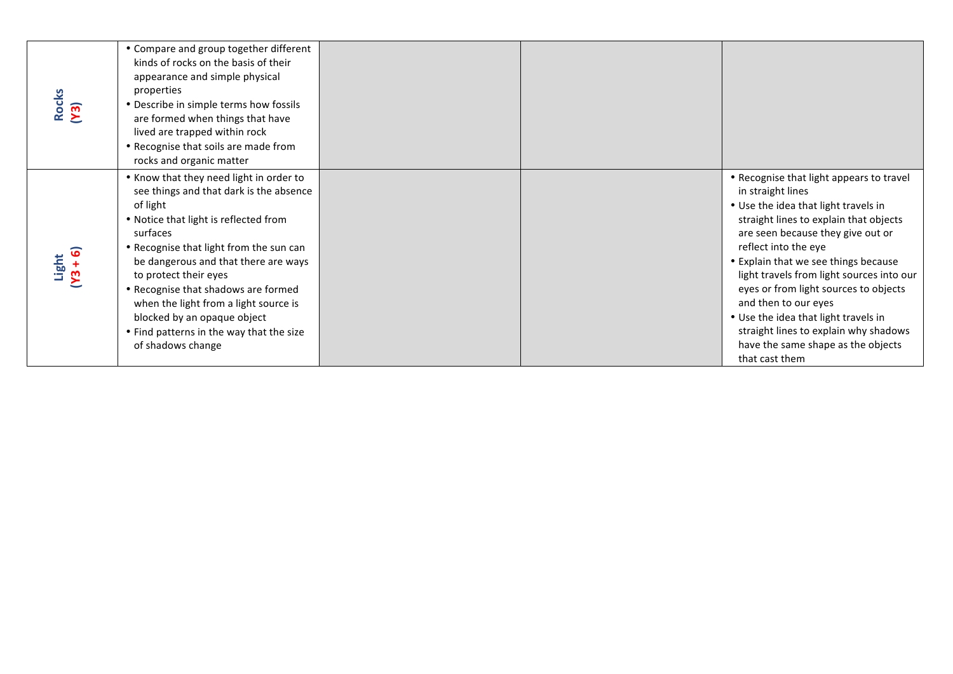| Rocks<br>(Y3)                    | • Compare and group together different<br>kinds of rocks on the basis of their<br>appearance and simple physical<br>properties<br>• Describe in simple terms how fossils<br>are formed when things that have<br>lived are trapped within rock<br>• Recognise that soils are made from                                                                                                                                                           |  |                                                                                                                                                                                                                                                                                                                                                                                                                                                                                                             |
|----------------------------------|-------------------------------------------------------------------------------------------------------------------------------------------------------------------------------------------------------------------------------------------------------------------------------------------------------------------------------------------------------------------------------------------------------------------------------------------------|--|-------------------------------------------------------------------------------------------------------------------------------------------------------------------------------------------------------------------------------------------------------------------------------------------------------------------------------------------------------------------------------------------------------------------------------------------------------------------------------------------------------------|
|                                  | rocks and organic matter                                                                                                                                                                                                                                                                                                                                                                                                                        |  |                                                                                                                                                                                                                                                                                                                                                                                                                                                                                                             |
| $Light$<br>$v_3 + 6$<br>$\Sigma$ | . Know that they need light in order to<br>see things and that dark is the absence<br>of light<br>. Notice that light is reflected from<br>surfaces<br>• Recognise that light from the sun can<br>be dangerous and that there are ways<br>to protect their eyes<br>• Recognise that shadows are formed<br>when the light from a light source is<br>blocked by an opaque object<br>• Find patterns in the way that the size<br>of shadows change |  | • Recognise that light appears to travel<br>in straight lines<br>• Use the idea that light travels in<br>straight lines to explain that objects<br>are seen because they give out or<br>reflect into the eye<br>• Explain that we see things because<br>light travels from light sources into our<br>eyes or from light sources to objects<br>and then to our eyes<br>• Use the idea that light travels in<br>straight lines to explain why shadows<br>have the same shape as the objects<br>that cast them |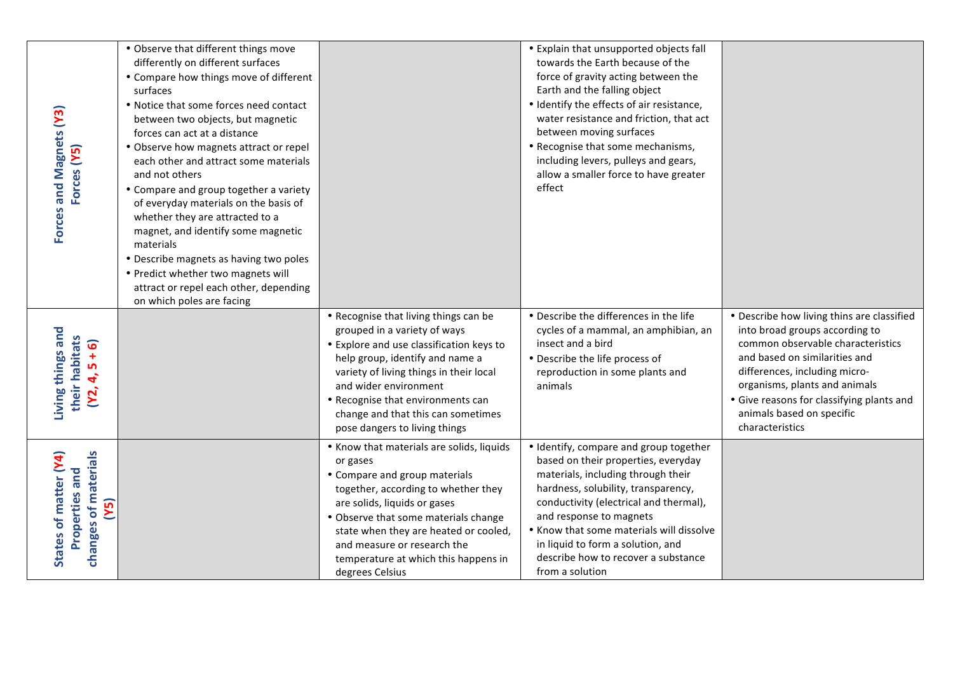| Forces and Magnets (Y3)<br>Forces (Y5)                                         | • Observe that different things move<br>differently on different surfaces<br>• Compare how things move of different<br>surfaces<br>• Notice that some forces need contact<br>between two objects, but magnetic<br>forces can act at a distance<br>• Observe how magnets attract or repel<br>each other and attract some materials<br>and not others<br>• Compare and group together a variety<br>of everyday materials on the basis of<br>whether they are attracted to a<br>magnet, and identify some magnetic<br>materials<br>• Describe magnets as having two poles<br>• Predict whether two magnets will<br>attract or repel each other, depending<br>on which poles are facing |                                                                                                                                                                                                                                                                                                                                          | • Explain that unsupported objects fall<br>towards the Earth because of the<br>force of gravity acting between the<br>Earth and the falling object<br>• Identify the effects of air resistance,<br>water resistance and friction, that act<br>between moving surfaces<br>• Recognise that some mechanisms,<br>including levers, pulleys and gears,<br>allow a smaller force to have greater<br>effect |                                                                                                                                                                                                                                                                                                                   |
|--------------------------------------------------------------------------------|-------------------------------------------------------------------------------------------------------------------------------------------------------------------------------------------------------------------------------------------------------------------------------------------------------------------------------------------------------------------------------------------------------------------------------------------------------------------------------------------------------------------------------------------------------------------------------------------------------------------------------------------------------------------------------------|------------------------------------------------------------------------------------------------------------------------------------------------------------------------------------------------------------------------------------------------------------------------------------------------------------------------------------------|-------------------------------------------------------------------------------------------------------------------------------------------------------------------------------------------------------------------------------------------------------------------------------------------------------------------------------------------------------------------------------------------------------|-------------------------------------------------------------------------------------------------------------------------------------------------------------------------------------------------------------------------------------------------------------------------------------------------------------------|
| Living things and<br>their habitats<br>$5 + 6$<br>4,<br>Y2,                    |                                                                                                                                                                                                                                                                                                                                                                                                                                                                                                                                                                                                                                                                                     | • Recognise that living things can be<br>grouped in a variety of ways<br>• Explore and use classification keys to<br>help group, identify and name a<br>variety of living things in their local<br>and wider environment<br>• Recognise that environments can<br>change and that this can sometimes<br>pose dangers to living things     | • Describe the differences in the life<br>cycles of a mammal, an amphibian, an<br>insect and a bird<br>• Describe the life process of<br>reproduction in some plants and<br>animals                                                                                                                                                                                                                   | • Describe how living thins are classified<br>into broad groups according to<br>common observable characteristics<br>and based on similarities and<br>differences, including micro-<br>organisms, plants and animals<br>• Give reasons for classifying plants and<br>animals based on specific<br>characteristics |
| changes of materials<br>States of matter (Y4)<br><b>Properties and</b><br>(Y5) |                                                                                                                                                                                                                                                                                                                                                                                                                                                                                                                                                                                                                                                                                     | • Know that materials are solids, liquids<br>or gases<br>• Compare and group materials<br>together, according to whether they<br>are solids, liquids or gases<br>• Observe that some materials change<br>state when they are heated or cooled,<br>and measure or research the<br>temperature at which this happens in<br>degrees Celsius | • Identify, compare and group together<br>based on their properties, everyday<br>materials, including through their<br>hardness, solubility, transparency,<br>conductivity (electrical and thermal),<br>and response to magnets<br>. Know that some materials will dissolve<br>in liquid to form a solution, and<br>describe how to recover a substance<br>from a solution                            |                                                                                                                                                                                                                                                                                                                   |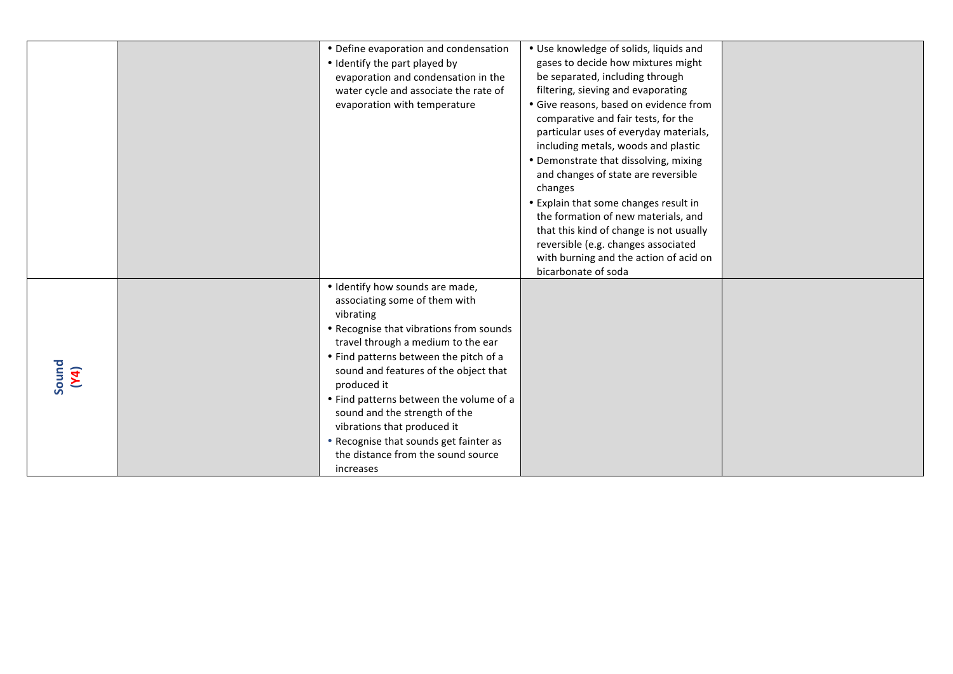|               | • Define evaporation and condensation<br>• Identify the part played by<br>evaporation and condensation in the<br>water cycle and associate the rate of<br>evaporation with temperature                                                                                                                                                                                                                                                                                   | • Use knowledge of solids, liquids and<br>gases to decide how mixtures might<br>be separated, including through<br>filtering, sieving and evaporating<br>· Give reasons, based on evidence from<br>comparative and fair tests, for the<br>particular uses of everyday materials,<br>including metals, woods and plastic<br>• Demonstrate that dissolving, mixing<br>and changes of state are reversible<br>changes<br>• Explain that some changes result in<br>the formation of new materials, and<br>that this kind of change is not usually<br>reversible (e.g. changes associated<br>with burning and the action of acid on<br>bicarbonate of soda |  |
|---------------|--------------------------------------------------------------------------------------------------------------------------------------------------------------------------------------------------------------------------------------------------------------------------------------------------------------------------------------------------------------------------------------------------------------------------------------------------------------------------|-------------------------------------------------------------------------------------------------------------------------------------------------------------------------------------------------------------------------------------------------------------------------------------------------------------------------------------------------------------------------------------------------------------------------------------------------------------------------------------------------------------------------------------------------------------------------------------------------------------------------------------------------------|--|
| Sound<br>(Y4) | • Identify how sounds are made,<br>associating some of them with<br>vibrating<br>• Recognise that vibrations from sounds<br>travel through a medium to the ear<br>• Find patterns between the pitch of a<br>sound and features of the object that<br>produced it<br>• Find patterns between the volume of a<br>sound and the strength of the<br>vibrations that produced it<br>• Recognise that sounds get fainter as<br>the distance from the sound source<br>increases |                                                                                                                                                                                                                                                                                                                                                                                                                                                                                                                                                                                                                                                       |  |